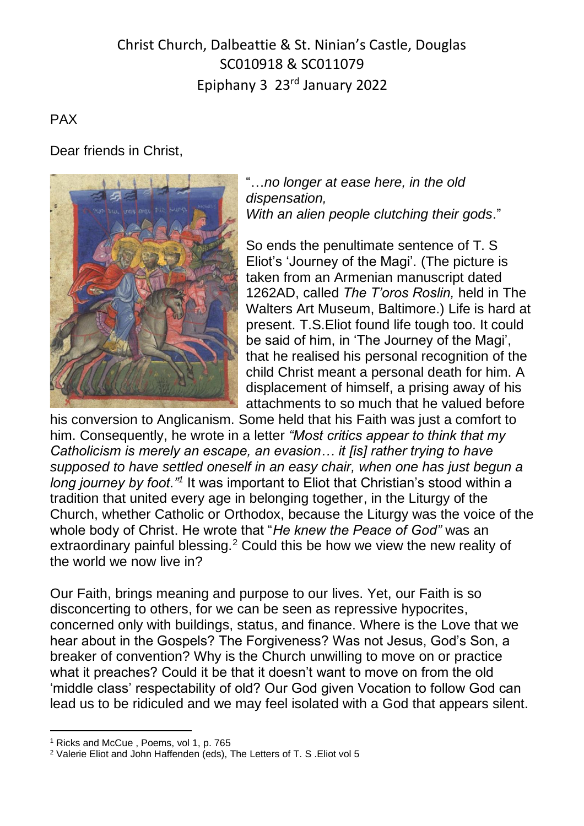# Christ Church, Dalbeattie & St. Ninian's Castle, Douglas SC010918 & SC011079 Epiphany 3 23rd January 2022

## PAX

### Dear friends in Christ,



"…*no longer at ease here, in the old dispensation, With an alien people clutching their gods*."

So ends the penultimate sentence of T. S Eliot's 'Journey of the Magi'. (The picture is taken from an Armenian manuscript dated 1262AD, called *The T'oros Roslin,* held in The Walters Art Museum, Baltimore.) Life is hard at present. T.S.Eliot found life tough too. It could be said of him, in 'The Journey of the Magi', that he realised his personal recognition of the child Christ meant a personal death for him. A displacement of himself, a prising away of his attachments to so much that he valued before

his conversion to Anglicanism. Some held that his Faith was just a comfort to him. Consequently, he wrote in a letter *"Most critics appear to think that my Catholicism is merely an escape, an evasion… it [is] rather trying to have supposed to have settled oneself in an easy chair, when one has just begun a*  long journey by foot."<sup>1</sup> It was important to Eliot that Christian's stood within a tradition that united every age in belonging together, in the Liturgy of the Church, whether Catholic or Orthodox, because the Liturgy was the voice of the whole body of Christ. He wrote that "*He knew the Peace of God"* was an extraordinary painful blessing.<sup>2</sup> Could this be how we view the new reality of the world we now live in?

Our Faith, brings meaning and purpose to our lives. Yet, our Faith is so disconcerting to others, for we can be seen as repressive hypocrites, concerned only with buildings, status, and finance. Where is the Love that we hear about in the Gospels? The Forgiveness? Was not Jesus, God's Son, a breaker of convention? Why is the Church unwilling to move on or practice what it preaches? Could it be that it doesn't want to move on from the old 'middle class' respectability of old? Our God given Vocation to follow God can lead us to be ridiculed and we may feel isolated with a God that appears silent.

<sup>&</sup>lt;sup>1</sup> Ricks and McCue, Poems, vol 1, p. 765

<sup>2</sup> Valerie Eliot and John Haffenden (eds), The Letters of T. S .Eliot vol 5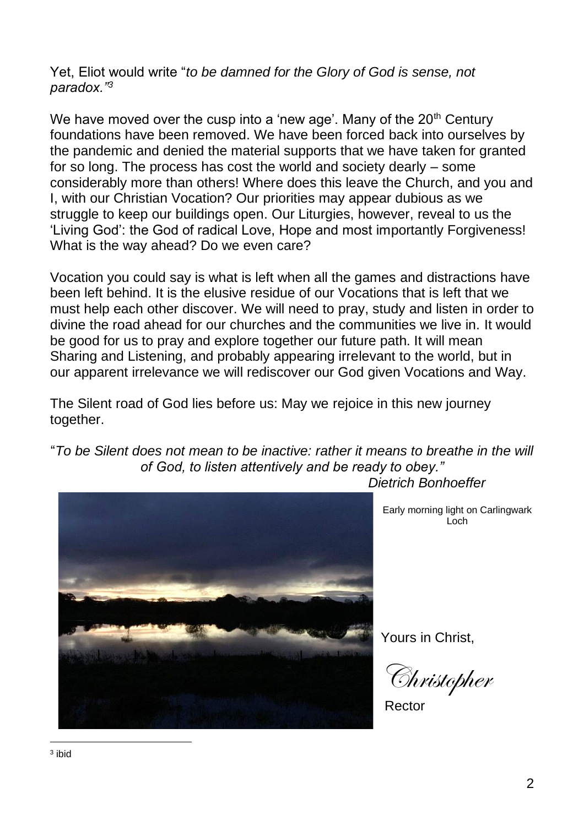Yet, Eliot would write "*to be damned for the Glory of God is sense, not paradox."<sup>3</sup>*

We have moved over the cusp into a 'new age'. Many of the  $20<sup>th</sup>$  Century foundations have been removed. We have been forced back into ourselves by the pandemic and denied the material supports that we have taken for granted for so long. The process has cost the world and society dearly – some considerably more than others! Where does this leave the Church, and you and I, with our Christian Vocation? Our priorities may appear dubious as we struggle to keep our buildings open. Our Liturgies, however, reveal to us the 'Living God': the God of radical Love, Hope and most importantly Forgiveness! What is the way ahead? Do we even care?

Vocation you could say is what is left when all the games and distractions have been left behind. It is the elusive residue of our Vocations that is left that we must help each other discover. We will need to pray, study and listen in order to divine the road ahead for our churches and the communities we live in. It would be good for us to pray and explore together our future path. It will mean Sharing and Listening, and probably appearing irrelevant to the world, but in our apparent irrelevance we will rediscover our God given Vocations and Way.

The Silent road of God lies before us: May we rejoice in this new journey together.

"*To be Silent does not mean to be inactive: rather it means to breathe in the will of God, to listen attentively and be ready to obey."*



Early morning light on Carlingwark Loch

Yours in Christ,

Christopher

Rector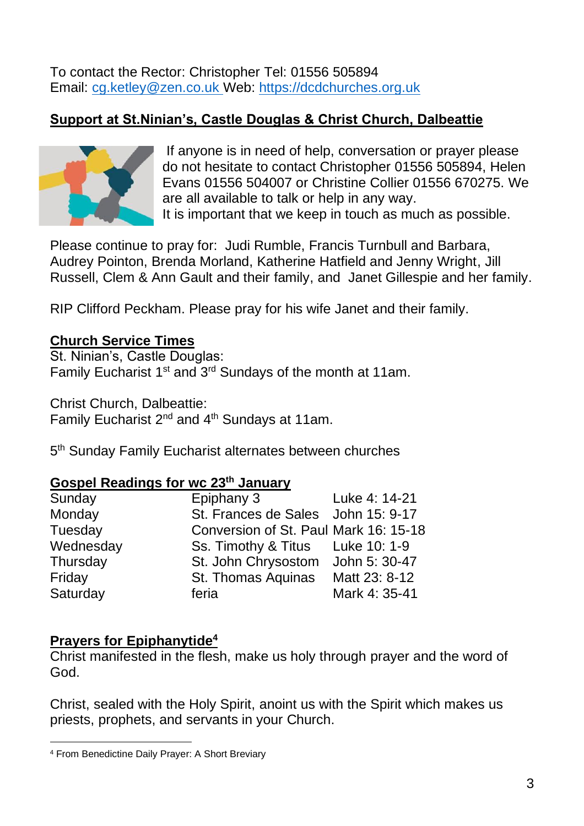To contact the Rector: Christopher Tel: 01556 505894 Email: [cg.ketley@zen.co.uk](mailto:cg.ketley@zen.co.uk) Web: [https://dcdchurches.org.uk](https://dcdchurches.org.uk/)

# **Support at St.Ninian's, Castle Douglas & Christ Church, Dalbeattie**



If anyone is in need of help, conversation or prayer please do not hesitate to contact Christopher 01556 505894, Helen Evans 01556 504007 or Christine Collier 01556 670275. We are all available to talk or help in any way. It is important that we keep in touch as much as possible.

Please continue to pray for: Judi Rumble, Francis Turnbull and Barbara, Audrey Pointon, Brenda Morland, Katherine Hatfield and Jenny Wright, Jill Russell, Clem & Ann Gault and their family, and Janet Gillespie and her family.

RIP Clifford Peckham. Please pray for his wife Janet and their family.

## **Church Service Times**

St. Ninian's, Castle Douglas: Family Eucharist  $1<sup>st</sup>$  and  $3<sup>rd</sup>$  Sundays of the month at 11am.

Christ Church, Dalbeattie: Family Eucharist 2<sup>nd</sup> and 4<sup>th</sup> Sundays at 11am.

5<sup>th</sup> Sunday Family Eucharist alternates between churches

#### **Gospel Readings for wc 23th January**

| Sunday    | Epiphany 3                            | Luke 4: 14-21 |
|-----------|---------------------------------------|---------------|
| Monday    | St. Frances de Sales John 15: 9-17    |               |
| Tuesday   | Conversion of St. Paul Mark 16: 15-18 |               |
| Wednesday | Ss. Timothy & Titus Luke 10: 1-9      |               |
| Thursday  | St. John Chrysostom                   | John 5: 30-47 |
| Friday    | St. Thomas Aquinas                    | Matt 23: 8-12 |
| Saturday  | feria                                 | Mark 4: 35-41 |

#### **Prayers for Epiphanytide<sup>4</sup>**

Christ manifested in the flesh, make us holy through prayer and the word of God.

Christ, sealed with the Holy Spirit, anoint us with the Spirit which makes us priests, prophets, and servants in your Church.

<sup>4</sup> From Benedictine Daily Prayer: A Short Breviary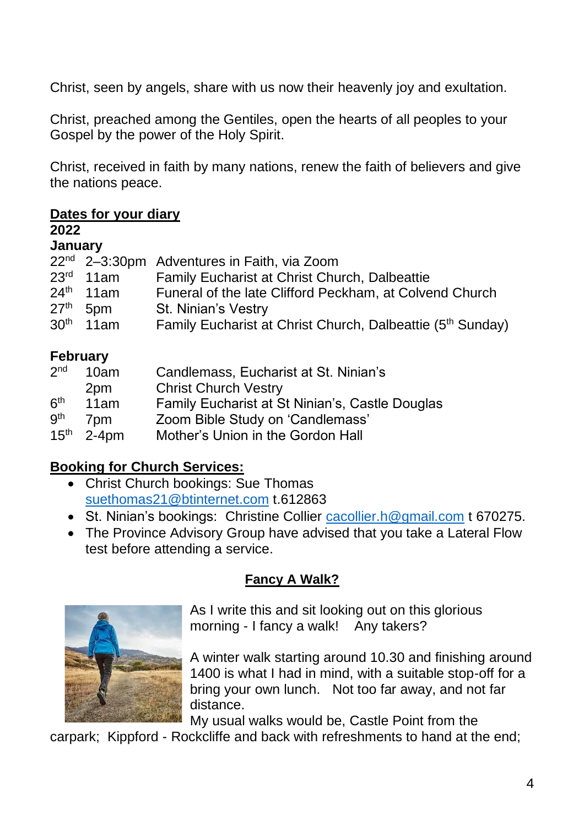Christ, seen by angels, share with us now their heavenly joy and exultation.

Christ, preached among the Gentiles, open the hearts of all peoples to your Gospel by the power of the Holy Spirit.

Christ, received in faith by many nations, renew the faith of believers and give the nations peace.

# **Dates for your diary**

#### **2022**

#### **January**

|                       | 22 <sup>nd</sup> 2-3:30pm Adventures in Faith, via Zoom                |
|-----------------------|------------------------------------------------------------------------|
| $23rd$ 11am           | <b>Family Eucharist at Christ Church, Dalbeattie</b>                   |
| $24th$ 11am           | Funeral of the late Clifford Peckham, at Colvend Church                |
| $27th$ 5pm            | <b>St. Ninian's Vestry</b>                                             |
| 30 <sup>th</sup> 11am | Family Eucharist at Christ Church, Dalbeattie (5 <sup>th</sup> Sunday) |
|                       |                                                                        |

# **February**

| 2 <sub>nd</sub>  | 10am            | Candlemass, Eucharist at St. Ninian's           |
|------------------|-----------------|-------------------------------------------------|
|                  | 2pm             | <b>Christ Church Vestry</b>                     |
| 6 <sup>th</sup>  | 11am            | Family Eucharist at St Ninian's, Castle Douglas |
| <b>gth</b>       | 7 <sub>pm</sub> | Zoom Bible Study on 'Candlemass'                |
| 15 <sup>th</sup> | $2 - 4$ pm      | Mother's Union in the Gordon Hall               |

# **Booking for Church Services:**

- Christ Church bookings: Sue Thomas [suethomas21@btinternet.com](mailto:suethomas21@btinternet.com) t.612863
- St. Ninian's bookings: Christine Collier [cacollier.h@gmail.com](mailto:cacollier.h@gmail.com) t 670275.
- The Province Advisory Group have advised that you take a Lateral Flow test before attending a service.

# **Fancy A Walk?**



As I write this and sit looking out on this glorious morning - I fancy a walk! Any takers?

A winter walk starting around 10.30 and finishing around 1400 is what I had in mind, with a suitable stop-off for a bring your own lunch. Not too far away, and not far distance.

My usual walks would be, Castle Point from the

carpark; Kippford - Rockcliffe and back with refreshments to hand at the end;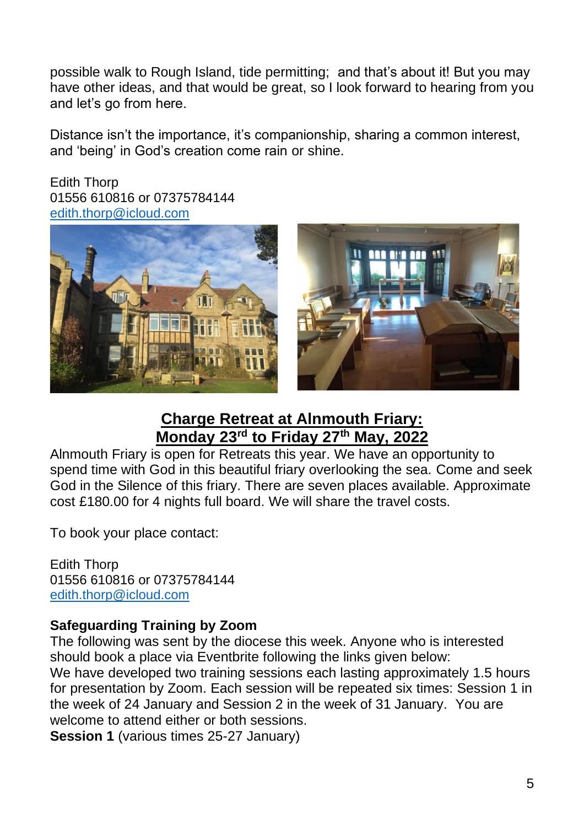possible walk to Rough Island, tide permitting; and that's about it! But you may have other ideas, and that would be great, so I look forward to hearing from you and let's go from here.

Distance isn't the importance, it's companionship, sharing a common interest, and 'being' in God's creation come rain or shine.

Edith Thorp 01556 610816 or 07375784144 [edith.thorp@icloud.com](mailto:edith.thorp@icloud.com)





# **Charge Retreat at Alnmouth Friary: Monday 23rd to Friday 27th May, 2022**

Alnmouth Friary is open for Retreats this year. We have an opportunity to spend time with God in this beautiful friary overlooking the sea. Come and seek God in the Silence of this friary. There are seven places available. Approximate cost £180.00 for 4 nights full board. We will share the travel costs.

To book your place contact:

Edith Thorp 01556 610816 or 07375784144 [edith.thorp@icloud.com](mailto:edith.thorp@icloud.com)

# **Safeguarding Training by Zoom**

The following was sent by the diocese this week. Anyone who is interested should book a place via Eventbrite following the links given below: We have developed two training sessions each lasting approximately 1.5 hours for presentation by Zoom. Each session will be repeated six times: Session 1 in the week of 24 January and Session 2 in the week of 31 January. You are welcome to attend either or both sessions.

**Session 1** (various times 25-27 January)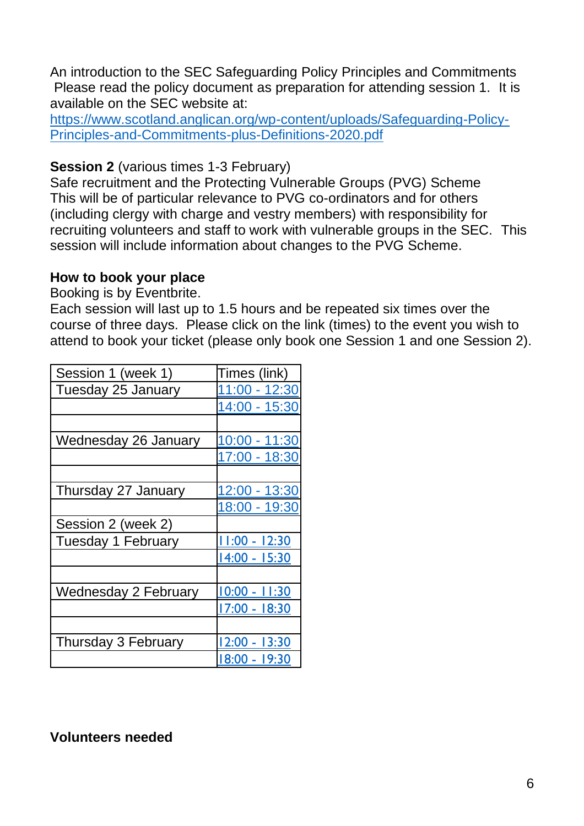An introduction to the SEC Safeguarding Policy Principles and Commitments Please read the policy document as preparation for attending session 1. It is available on the SEC website at:

[https://www.scotland.anglican.org/wp-content/uploads/Safeguarding-Policy-](https://www.scotland.anglican.org/wp-content/uploads/Safeguarding-Policy-Principles-and-Commitments-plus-Definitions-2020.pdf)[Principles-and-Commitments-plus-Definitions-2020.pdf](https://www.scotland.anglican.org/wp-content/uploads/Safeguarding-Policy-Principles-and-Commitments-plus-Definitions-2020.pdf)

### **Session 2** (various times 1-3 February)

Safe recruitment and the Protecting Vulnerable Groups (PVG) Scheme This will be of particular relevance to PVG co-ordinators and for others (including clergy with charge and vestry members) with responsibility for recruiting volunteers and staff to work with vulnerable groups in the SEC. This session will include information about changes to the PVG Scheme.

## **How to book your place**

Booking is by Eventbrite.

Each session will last up to 1.5 hours and be repeated six times over the course of three days. Please click on the link (times) to the event you wish to attend to book your ticket (please only book one Session 1 and one Session 2).

| Session 1 (week 1)   | Times (link)    |
|----------------------|-----------------|
| Tuesday 25 January   | 11:00 - 12:30   |
|                      | 14:00 - 15:30   |
|                      |                 |
| Wednesday 26 January | 10:00 - 11:30   |
|                      | 17:00 - 18:30   |
|                      |                 |
| Thursday 27 January  | 12:00 - 13:30   |
|                      | 18:00 - 19:30   |
| Session 2 (week 2)   |                 |
| Tuesday 1 February   | $11:00 - 12:30$ |
|                      | 14:00 - 15:30   |
|                      |                 |
| Wednesday 2 February | $10:00 - 11:30$ |
|                      | 17:00 - 18:30   |
|                      |                 |
| Thursday 3 February  | 12:00 - 13:30   |
|                      | 18:00 - 19:30   |

# **Volunteers needed**